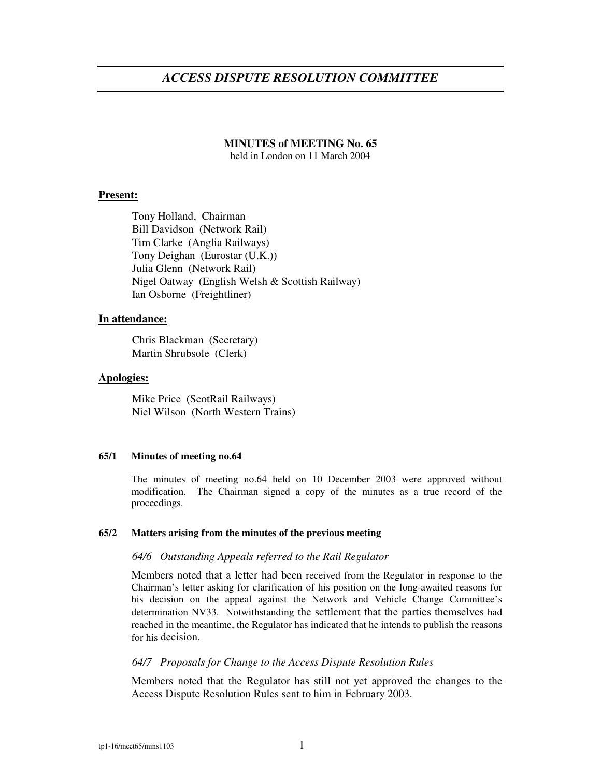# *ACCESS DISPUTE RESOLUTION COMMITTEE*

## **MINUTES of MEETING No. 65**

held in London on 11 March 2004

## **Present:**

Tony Holland, Chairman Bill Davidson (Network Rail) Tim Clarke (Anglia Railways) Tony Deighan (Eurostar (U.K.)) Julia Glenn (Network Rail) Nigel Oatway (English Welsh & Scottish Railway) Ian Osborne (Freightliner)

## **In attendance:**

Chris Blackman (Secretary) Martin Shrubsole (Clerk)

#### **Apologies:**

Mike Price (ScotRail Railways) Niel Wilson (North Western Trains)

#### **65/1 Minutes of meeting no.64**

The minutes of meeting no.64 held on 10 December 2003 were approved without modification. The Chairman signed a copy of the minutes as a true record of the proceedings.

#### **65/2 Matters arising from the minutes of the previous meeting**

#### *64/6 Outstanding Appeals referred to the Rail Regulator*

Members noted that a letter had been received from the Regulator in response to the Chairman's letter asking for clarification of his position on the long-awaited reasons for his decision on the appeal against the Network and Vehicle Change Committee's determination NV33. Notwithstanding the settlement that the parties themselves had reached in the meantime, the Regulator has indicated that he intends to publish the reasons for his decision.

#### *64/7 Proposals for Change to the Access Dispute Resolution Rules*

Members noted that the Regulator has still not yet approved the changes to the Access Dispute Resolution Rules sent to him in February 2003.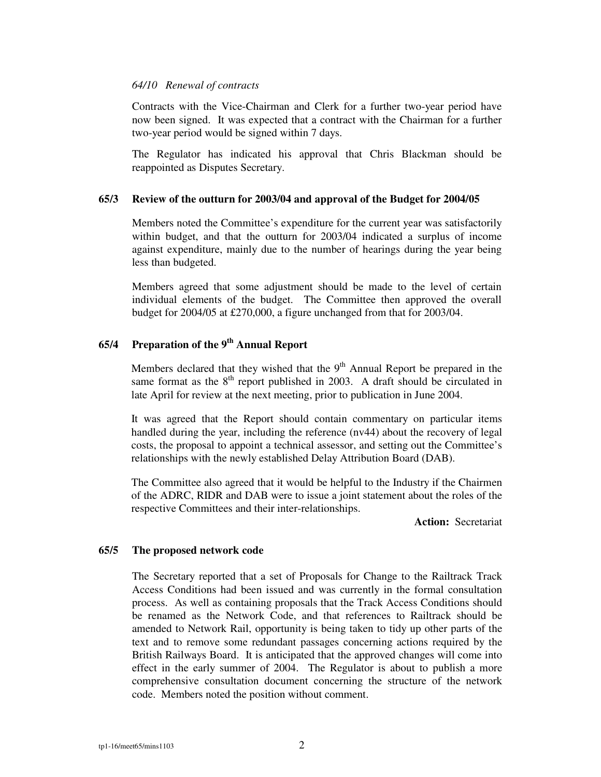#### *64/10 Renewal of contracts*

Contracts with the Vice-Chairman and Clerk for a further two-year period have now been signed. It was expected that a contract with the Chairman for a further two-year period would be signed within 7 days.

The Regulator has indicated his approval that Chris Blackman should be reappointed as Disputes Secretary.

#### **65/3 Review of the outturn for 2003/04 and approval of the Budget for 2004/05**

Members noted the Committee's expenditure for the current year was satisfactorily within budget, and that the outturn for 2003/04 indicated a surplus of income against expenditure, mainly due to the number of hearings during the year being less than budgeted.

Members agreed that some adjustment should be made to the level of certain individual elements of the budget. The Committee then approved the overall budget for 2004/05 at £270,000, a figure unchanged from that for 2003/04.

## **65/4 Preparation of the 9 th Annual Report**

Members declared that they wished that the  $9<sup>th</sup>$  Annual Report be prepared in the same format as the  $8<sup>th</sup>$  report published in 2003. A draft should be circulated in late April for review at the next meeting, prior to publication in June 2004.

It was agreed that the Report should contain commentary on particular items handled during the year, including the reference (nv44) about the recovery of legal costs, the proposal to appoint a technical assessor, and setting out the Committee's relationships with the newly established Delay Attribution Board (DAB).

The Committee also agreed that it would be helpful to the Industry if the Chairmen of the ADRC, RIDR and DAB were to issue a joint statement about the roles of the respective Committees and their inter-relationships.

**Action:** Secretariat

#### **65/5 The proposed network code**

The Secretary reported that a set of Proposals for Change to the Railtrack Track Access Conditions had been issued and was currently in the formal consultation process. As well as containing proposals that the Track Access Conditions should be renamed as the Network Code, and that references to Railtrack should be amended to Network Rail, opportunity is being taken to tidy up other parts of the text and to remove some redundant passages concerning actions required by the British Railways Board. It is anticipated that the approved changes will come into effect in the early summer of 2004. The Regulator is about to publish a more comprehensive consultation document concerning the structure of the network code. Members noted the position without comment.